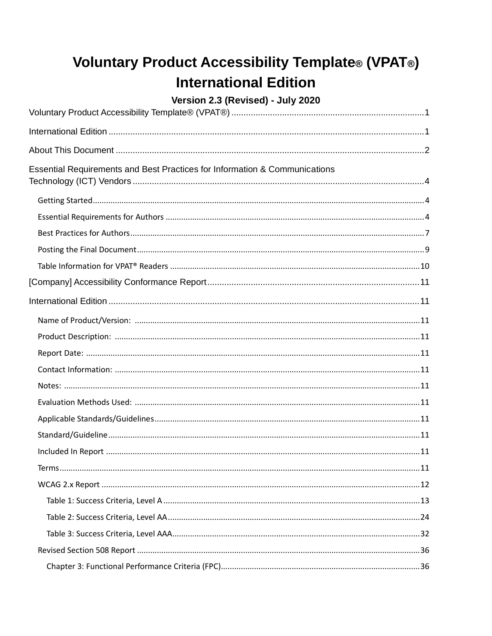# <span id="page-0-0"></span>**Voluntary Product Accessibility Template® (VPAT®) International Edition**

#### Version 2.3 (Revised) - July 2020

<span id="page-0-1"></span>

| Essential Requirements and Best Practices for Information & Communications |  |
|----------------------------------------------------------------------------|--|
|                                                                            |  |
|                                                                            |  |
|                                                                            |  |
|                                                                            |  |
|                                                                            |  |
|                                                                            |  |
|                                                                            |  |
|                                                                            |  |
|                                                                            |  |
|                                                                            |  |
|                                                                            |  |
|                                                                            |  |
|                                                                            |  |
|                                                                            |  |
|                                                                            |  |
|                                                                            |  |
|                                                                            |  |
|                                                                            |  |
|                                                                            |  |
|                                                                            |  |
|                                                                            |  |
|                                                                            |  |
|                                                                            |  |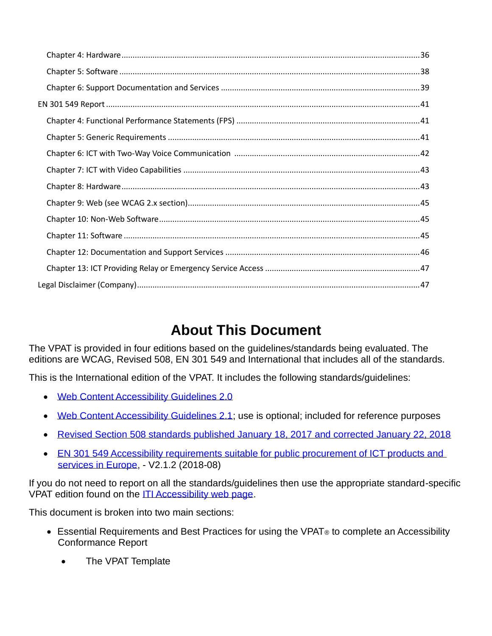# **About This Document**

<span id="page-1-0"></span>The VPAT is provided in four editions based on the guidelines/standards being evaluated. The editions are WCAG, Revised 508, EN 301 549 and International that includes all of the standards.

This is the International edition of the VPAT. It includes the following standards/guidelines:

- [Web Content Accessibility Guidelines 2.0](http://www.w3.org/TR/2008/REC-WCAG20-20081211)
- [Web Content Accessibility Guidelines 2.1;](https://www.w3.org/TR/WCAG21) use is optional; included for reference purposes
- [Revised Section 508 standards published January 18, 2017 and corrected January 22, 2018](https://www.access-board.gov/guidelines-and-standards/communications-and-it/about-the-ict-refresh/final-rule/text-of-the-standards-and-guidelines)
- EN 301 549 Accessibility requirements suitable for public procurement of ICT products and [services in Europe,](https://www.etsi.org/deliver/etsi_en/301500_301599/301549/02.01.02_60/en_301549v020102p.pdf) - V2.1.2 (2018-08)

If you do not need to report on all the standards/guidelines then use the appropriate standard-specific VPAT edition found on the [ITI Accessibility web page.](https://www.itic.org/policy/accessibility/vpat)

This document is broken into two main sections:

- Essential Requirements and Best Practices for using the VPAT<sup>®</sup> to complete an Accessibility Conformance Report
	- The VPAT Template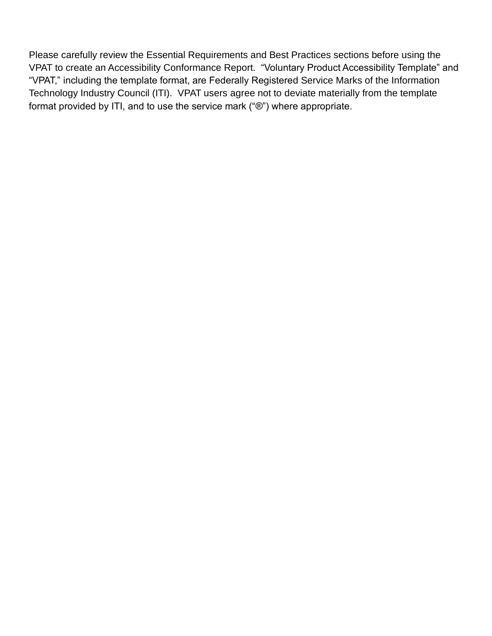Please carefully review the Essential Requirements and Best Practices sections before using the VPAT to create an Accessibility Conformance Report. "Voluntary Product Accessibility Template" and "VPAT," including the template format, are Federally Registered Service Marks of the Information Technology Industry Council (ITI). VPAT users agree not to deviate materially from the template format provided by ITI, and to use the service mark ("®") where appropriate.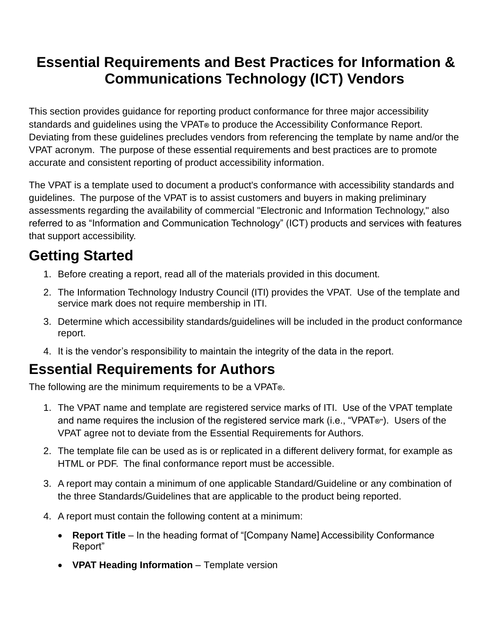## <span id="page-3-0"></span>**Essential Requirements and Best Practices for Information & Communications Technology (ICT) Vendors**

This section provides guidance for reporting product conformance for three major accessibility standards and guidelines using the VPAT**®** to produce the Accessibility Conformance Report. Deviating from these guidelines precludes vendors from referencing the template by name and/or the VPAT acronym. The purpose of these essential requirements and best practices are to promote accurate and consistent reporting of product accessibility information.

The VPAT is a template used to document a product's conformance with accessibility standards and guidelines. The purpose of the VPAT is to assist customers and buyers in making preliminary assessments regarding the availability of commercial "Electronic and Information Technology," also referred to as "Information and Communication Technology" (ICT) products and services with features that support accessibility.

# <span id="page-3-1"></span>**Getting Started**

- 1. Before creating a report, read all of the materials provided in this document.
- 2. The Information Technology Industry Council (ITI) provides the VPAT. Use of the template and service mark does not require membership in ITI.
- 3. Determine which accessibility standards/guidelines will be included in the product conformance report.
- 4. It is the vendor's responsibility to maintain the integrity of the data in the report.

# <span id="page-3-2"></span>**Essential Requirements for Authors**

The following are the minimum requirements to be a VPAT**®**.

- 1. The VPAT name and template are registered service marks of ITI. Use of the VPAT template and name requires the inclusion of the registered service mark (i.e., "VPAT**®"**). Users of the VPAT agree not to deviate from the Essential Requirements for Authors.
- 2. The template file can be used as is or replicated in a different delivery format, for example as HTML or PDF. The final conformance report must be accessible.
- 3. A report may contain a minimum of one applicable Standard/Guideline or any combination of the three Standards/Guidelines that are applicable to the product being reported.
- 4. A report must contain the following content at a minimum:
	- **Report Title**  In the heading format of "[Company Name] Accessibility Conformance Report"
	- **VPAT Heading Information**  Template version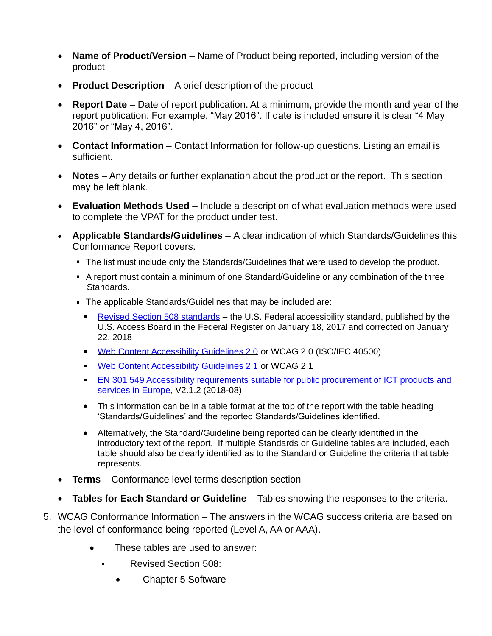- **Name of Product/Version** Name of Product being reported, including version of the product
- **Product Description**  A brief description of the product
- **Report Date**  Date of report publication. At a minimum, provide the month and year of the report publication. For example, "May 2016". If date is included ensure it is clear "4 May 2016" or "May 4, 2016".
- **Contact Information** Contact Information for follow-up questions. Listing an email is sufficient.
- **Notes**  Any details or further explanation about the product or the report. This section may be left blank.
- **Evaluation Methods Used**  Include a description of what evaluation methods were used to complete the VPAT for the product under test.
- **Applicable Standards/Guidelines**  A clear indication of which Standards/Guidelines this Conformance Report covers.
	- The list must include only the Standards/Guidelines that were used to develop the product.
	- A report must contain a minimum of one Standard/Guideline or any combination of the three Standards.
	- **The applicable Standards/Guidelines that may be included are:** 
		- [Revised Section 508 standards](https://www.access-board.gov/guidelines-and-standards/communications-and-it/about-the-ict-refresh/final-rule/text-of-the-standards-and-guidelines) the U.S. Federal accessibility standard, published by the U.S. Access Board in the Federal Register on January 18, 2017 and corrected on January 22, 2018
		- [Web Content Accessibility Guidelines 2.0](http://www.w3.org/TR/2008/REC-WCAG20-20081211) or WCAG 2.0 (ISO/IEC 40500)  $\mathbf{r}$
		- [Web Content Accessibility Guidelines 2.1](https://www.w3.org/TR/WCAG21) or WCAG 2.1
		- **EN 301 549 Accessibility requirements suitable for public procurement of ICT products and** [services in Europe,](https://www.etsi.org/deliver/etsi_en/301500_301599/301549/02.01.02_60/en_301549v020102p.pdf) V2.1.2 (2018-08)
		- This information can be in a table format at the top of the report with the table heading 'Standards/Guidelines' and the reported Standards/Guidelines identified.
		- Alternatively, the Standard/Guideline being reported can be clearly identified in the introductory text of the report. If multiple Standards or Guideline tables are included, each table should also be clearly identified as to the Standard or Guideline the criteria that table represents.
- **Terms**  Conformance level terms description section
- **Tables for Each Standard or Guideline**  Tables showing the responses to the criteria.
- 5. WCAG Conformance Information The answers in the WCAG success criteria are based on the level of conformance being reported (Level A, AA or AAA).
	- These tables are used to answer:
		- Revised Section 508:  $\blacksquare$ 
			- Chapter 5 Software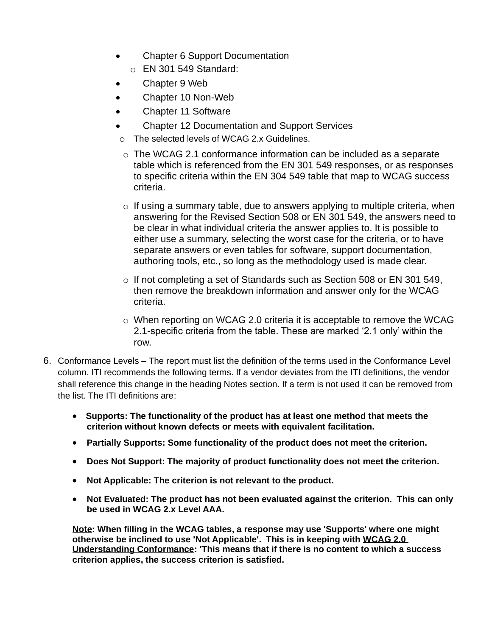- Chapter 6 Support Documentation
	- o EN 301 549 Standard:
- Chapter 9 Web
- Chapter 10 Non-Web
- Chapter 11 Software
- Chapter 12 Documentation and Support Services
- o The selected levels of WCAG 2.x Guidelines.
- o The WCAG 2.1 conformance information can be included as a separate table which is referenced from the EN 301 549 responses, or as responses to specific criteria within the EN 304 549 table that map to WCAG success criteria.
- $\circ$  If using a summary table, due to answers applying to multiple criteria, when answering for the Revised Section 508 or EN 301 549, the answers need to be clear in what individual criteria the answer applies to. It is possible to either use a summary, selecting the worst case for the criteria, or to have separate answers or even tables for software, support documentation, authoring tools, etc., so long as the methodology used is made clear.
- $\circ$  If not completing a set of Standards such as Section 508 or EN 301 549, then remove the breakdown information and answer only for the WCAG criteria.
- $\circ$  When reporting on WCAG 2.0 criteria it is acceptable to remove the WCAG 2.1-specific criteria from the table. These are marked '2.1 only' within the row.
- 6. Conformance Levels The report must list the definition of the terms used in the Conformance Level column. ITI recommends the following terms. If a vendor deviates from the ITI definitions, the vendor shall reference this change in the heading Notes section. If a term is not used it can be removed from the list. The ITI definitions are:
	- **Supports: The functionality of the product has at least one method that meets the criterion without known defects or meets with equivalent facilitation.**
	- **Partially Supports: Some functionality of the product does not meet the criterion.**
	- **Does Not Support: The majority of product functionality does not meet the criterion.**
	- **Not Applicable: The criterion is not relevant to the product.**
	- **Not Evaluated: The product has not been evaluated against the criterion. This can only be used in WCAG 2.x Level AAA.**

**Note: When filling in the WCAG tables, a response may use 'Supports' where one might otherwise be inclined to use 'Not Applicable'. This is in keeping with [WCAG 2.0](https://www.w3.org/TR/UNDERSTANDING-WCAG20/conformance.html)  [Understanding Conformance:](https://www.w3.org/TR/UNDERSTANDING-WCAG20/conformance.html) 'This means that if there is no content to which a success criterion applies, the success criterion is satisfied.**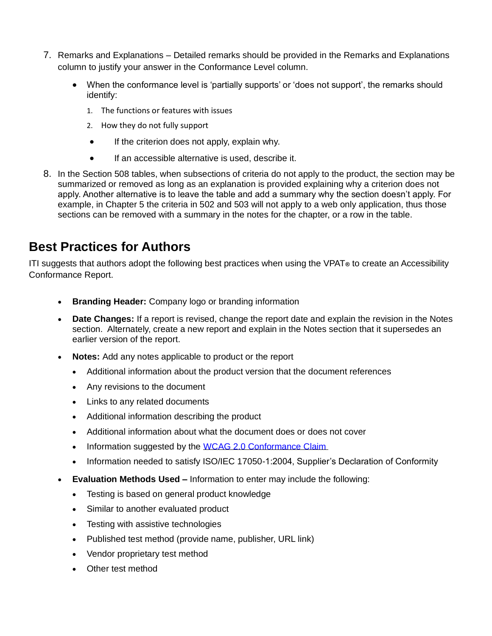- 7. Remarks and Explanations Detailed remarks should be provided in the Remarks and Explanations column to justify your answer in the Conformance Level column.
	- When the conformance level is 'partially supports' or 'does not support', the remarks should identify:
		- 1. The functions or features with issues
		- 2. How they do not fully support
		- If the criterion does not apply, explain why.
		- If an accessible alternative is used, describe it.
- 8. In the Section 508 tables, when subsections of criteria do not apply to the product, the section may be summarized or removed as long as an explanation is provided explaining why a criterion does not apply. Another alternative is to leave the table and add a summary why the section doesn't apply. For example, in Chapter 5 the criteria in 502 and 503 will not apply to a web only application, thus those sections can be removed with a summary in the notes for the chapter, or a row in the table.

#### <span id="page-6-0"></span>**Best Practices for Authors**

ITI suggests that authors adopt the following best practices when using the VPAT**®** to create an Accessibility Conformance Report.

- **Branding Header:** Company logo or branding information
- **Date Changes:** If a report is revised, change the report date and explain the revision in the Notes section. Alternately, create a new report and explain in the Notes section that it supersedes an earlier version of the report.
- **Notes:** Add any notes applicable to product or the report
	- Additional information about the product version that the document references
	- Any revisions to the document
	- Links to any related documents
	- Additional information describing the product
	- Additional information about what the document does or does not cover
	- Information suggested by the WCAG 2.0 Conformance Claim
	- Information needed to satisfy ISO/IEC 17050-1:2004, Supplier's Declaration of Conformity
- **Evaluation Methods Used –** Information to enter may include the following:
	- Testing is based on general product knowledge
	- Similar to another evaluated product
	- Testing with assistive technologies
	- Published test method (provide name, publisher, URL link)
	- Vendor proprietary test method
	- Other test method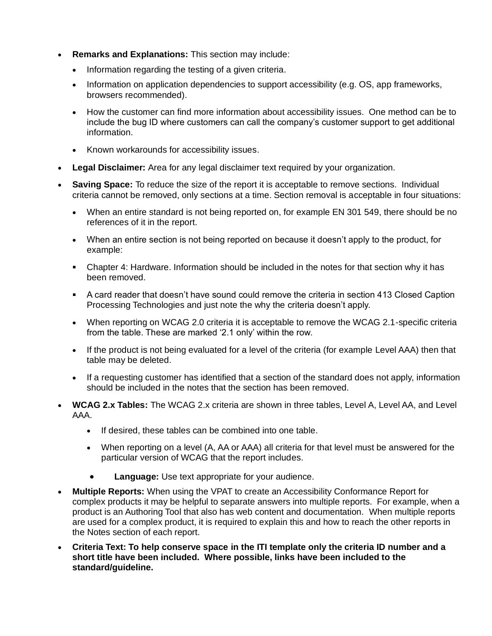- **Remarks and Explanations:** This section may include:
	- Information regarding the testing of a given criteria.
	- Information on application dependencies to support accessibility (e.g. OS, app frameworks, browsers recommended).
	- How the customer can find more information about accessibility issues. One method can be to include the bug ID where customers can call the company's customer support to get additional information.
	- Known workarounds for accessibility issues.
- **Legal Disclaimer:** Area for any legal disclaimer text required by your organization.
- **Saving Space:** To reduce the size of the report it is acceptable to remove sections. Individual criteria cannot be removed, only sections at a time. Section removal is acceptable in four situations:
	- When an entire standard is not being reported on, for example EN 301 549, there should be no references of it in the report.
	- When an entire section is not being reported on because it doesn't apply to the product, for example:
	- Chapter 4: Hardware. Information should be included in the notes for that section why it has been removed.
	- A card reader that doesn't have sound could remove the criteria in section 413 Closed Caption Processing Technologies and just note the why the criteria doesn't apply.
	- When reporting on WCAG 2.0 criteria it is acceptable to remove the WCAG 2.1-specific criteria from the table. These are marked '2.1 only' within the row.
	- If the product is not being evaluated for a level of the criteria (for example Level AAA) then that table may be deleted.
	- If a requesting customer has identified that a section of the standard does not apply, information should be included in the notes that the section has been removed.
- **WCAG 2.x Tables:** The WCAG 2.x criteria are shown in three tables, Level A, Level AA, and Level AAA.
	- If desired, these tables can be combined into one table.
	- When reporting on a level (A, AA or AAA) all criteria for that level must be answered for the particular version of WCAG that the report includes.
		- **Language:** Use text appropriate for your audience.
- **Multiple Reports:** When using the VPAT to create an Accessibility Conformance Report for complex products it may be helpful to separate answers into multiple reports. For example, when a product is an Authoring Tool that also has web content and documentation. When multiple reports are used for a complex product, it is required to explain this and how to reach the other reports in the Notes section of each report.
- **Criteria Text: To help conserve space in the ITI template only the criteria ID number and a short title have been included. Where possible, links have been included to the standard/guideline.**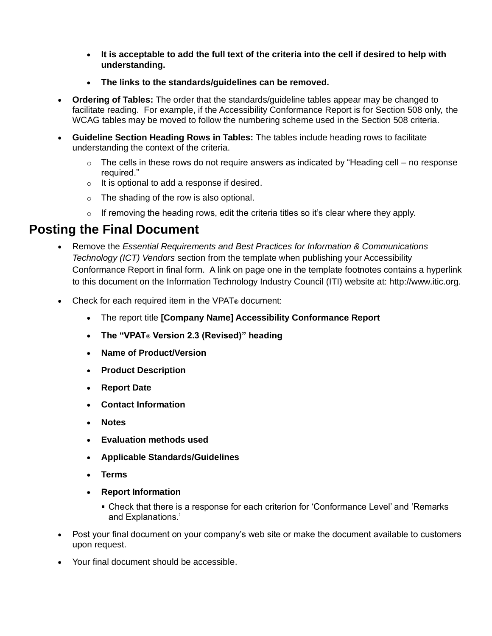- **It is acceptable to add the full text of the criteria into the cell if desired to help with understanding.**
- **The links to the standards/guidelines can be removed.**
- **Ordering of Tables:** The order that the standards/guideline tables appear may be changed to facilitate reading. For example, if the Accessibility Conformance Report is for Section 508 only, the WCAG tables may be moved to follow the numbering scheme used in the Section 508 criteria.
- **Guideline Section Heading Rows in Tables:** The tables include heading rows to facilitate understanding the context of the criteria.
	- $\circ$  The cells in these rows do not require answers as indicated by "Heading cell no response required."
	- $\circ$  It is optional to add a response if desired.
	- $\circ$  The shading of the row is also optional.
	- $\circ$  If removing the heading rows, edit the criteria titles so it's clear where they apply.

#### <span id="page-8-0"></span>**Posting the Final Document**

- Remove the *Essential Requirements and Best Practices for Information & Communications Technology (ICT) Vendors* section from the template when publishing your Accessibility Conformance Report in final form. A link on page one in the template footnotes contains a hyperlink to this document on the Information Technology Industry Council (ITI) website at: http://www.itic.org.
- Check for each required item in the VPAT**®** document:
	- The report title **[Company Name] Accessibility Conformance Report**
	- **The "VPAT® Version 2.3 (Revised)" heading**
	- **Name of Product/Version**
	- **Product Description**
	- **Report Date**
	- **Contact Information**
	- **Notes**
	- **Evaluation methods used**
	- **Applicable Standards/Guidelines**
	- **Terms**
	- **Report Information**
		- Check that there is a response for each criterion for 'Conformance Level' and 'Remarks and Explanations.'
- Post your final document on your company's web site or make the document available to customers upon request.
- Your final document should be accessible.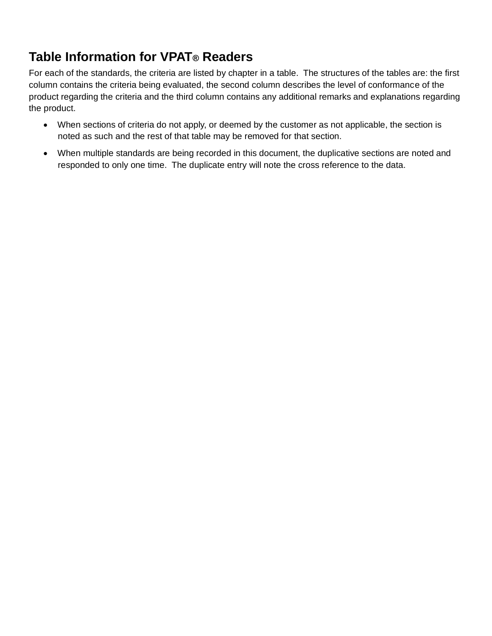### <span id="page-9-0"></span>**Table Information for VPAT® Readers**

For each of the standards, the criteria are listed by chapter in a table. The structures of the tables are: the first column contains the criteria being evaluated, the second column describes the level of conformance of the product regarding the criteria and the third column contains any additional remarks and explanations regarding the product.

- When sections of criteria do not apply, or deemed by the customer as not applicable, the section is noted as such and the rest of that table may be removed for that section.
- When multiple standards are being recorded in this document, the duplicative sections are noted and responded to only one time. The duplicate entry will note the cross reference to the data.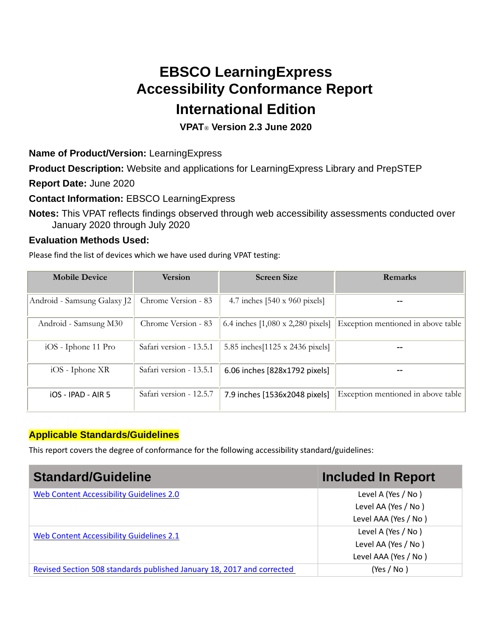## **EBSCO LearningExpress Accessibility Conformance Report International Edition**

#### **VPAT**® **Version 2.3 June 2020**

<span id="page-10-2"></span><span id="page-10-1"></span><span id="page-10-0"></span>**Name of Product/Version:** LearningExpress

<span id="page-10-3"></span>**Product Description:** Website and applications for LearningExpress Library and PrepSTEP

<span id="page-10-4"></span>**Report Date:** June 2020

<span id="page-10-5"></span>**Contact Information:** EBSCO LearningExpress

<span id="page-10-6"></span>**Notes:** This VPAT reflects findings observed through web accessibility assessments conducted over January 2020 through July 2020

#### <span id="page-10-7"></span>**Evaluation Methods Used:**

Please find the list of devices which we have used during VPAT testing:

| <b>Mobile Device</b>        | <b>Version</b>          | <b>Screen Size</b>                               | Remarks                            |
|-----------------------------|-------------------------|--------------------------------------------------|------------------------------------|
| Android - Samsung Galaxy J2 | Chrome Version - 83     | 4.7 inches $[540 \times 960 \text{ pixels}]$     |                                    |
| Android - Samsung M30       | Chrome Version - 83     | 6.4 inches $[1,080 \times 2,280 \text{ pixels}]$ | Exception mentioned in above table |
| iOS - Iphone 11 Pro         | Safari version - 13.5.1 | 5.85 inches [1125 x 2436 pixels]                 |                                    |
| $iOS$ - Iphone $XR$         | Safari version - 13.5.1 | 6.06 inches [828x1792 pixels]                    |                                    |
| $IOS - IPAD - AIR 5$        | Safari version - 12.5.7 | 7.9 inches [1536x2048 pixels]                    | Exception mentioned in above table |

#### <span id="page-10-8"></span>**Applicable Standards/Guidelines**

This report covers the degree of conformance for the following accessibility standard/guidelines:

<span id="page-10-10"></span><span id="page-10-9"></span>

| <b>Standard/Guideline</b>                                              | <b>Included In Report</b> |
|------------------------------------------------------------------------|---------------------------|
| Web Content Accessibility Guidelines 2.0                               | Level A (Yes / No)        |
|                                                                        | Level AA (Yes / No)       |
|                                                                        | Level AAA (Yes / No)      |
| Web Content Accessibility Guidelines 2.1                               | Level A (Yes / No)        |
|                                                                        | Level AA (Yes / No)       |
|                                                                        | Level AAA (Yes / No)      |
| Revised Section 508 standards published January 18, 2017 and corrected | (Yes / No)                |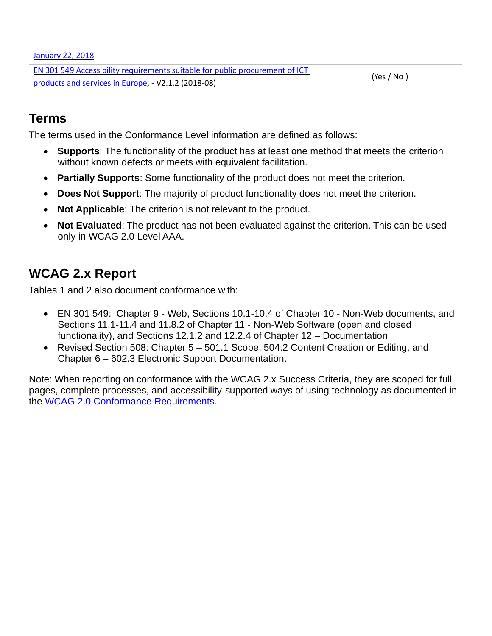| January 22, 2018                                                             |            |
|------------------------------------------------------------------------------|------------|
| EN 301 549 Accessibility requirements suitable for public procurement of ICT |            |
| products and services in Europe, - V2.1.2 (2018-08)                          | (Yes / No) |

### <span id="page-11-0"></span>**Terms**

The terms used in the Conformance Level information are defined as follows:

- **Supports**: The functionality of the product has at least one method that meets the criterion without known defects or meets with equivalent facilitation.
- **Partially Supports**: Some functionality of the product does not meet the criterion.
- **Does Not Support**: The majority of product functionality does not meet the criterion.
- **Not Applicable**: The criterion is not relevant to the product.
- **Not Evaluated**: The product has not been evaluated against the criterion. This can be used only in WCAG 2.0 Level AAA.

## <span id="page-11-1"></span>**WCAG 2.x Report**

Tables 1 and 2 also document conformance with:

- EN 301 549: Chapter 9 Web, Sections 10.1-10.4 of Chapter 10 Non-Web documents, and Sections 11.1-11.4 and 11.8.2 of Chapter 11 - Non-Web Software (open and closed functionality), and Sections 12.1.2 and 12.2.4 of Chapter 12 – Documentation
- Revised Section 508: Chapter 5 501.1 Scope, 504.2 Content Creation or Editing, and Chapter 6 – 602.3 Electronic Support Documentation.

Note: When reporting on conformance with the WCAG 2.x Success Criteria, they are scoped for full pages, complete processes, and accessibility-supported ways of using technology as documented in the WCAG 2.0 Conformance Requirements.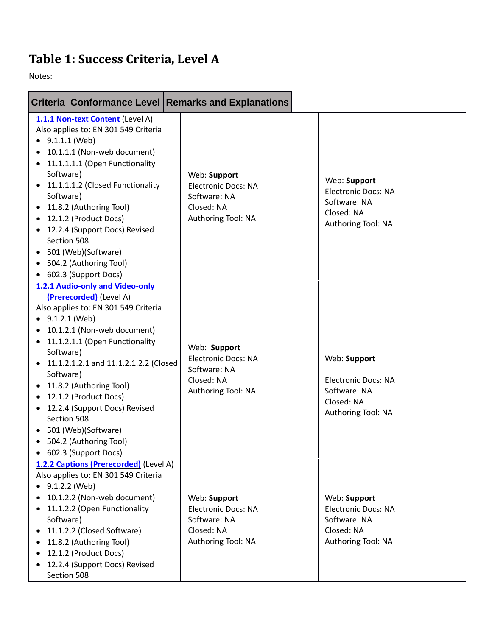## <span id="page-12-0"></span>**Table 1: Success Criteria, Level A**

Notes:

|                                                                             |                                                                                                                                                                                                                                                                                                                                                                                           | Criteria Conformance Level Remarks and Explanations                                            |                                                                                                |
|-----------------------------------------------------------------------------|-------------------------------------------------------------------------------------------------------------------------------------------------------------------------------------------------------------------------------------------------------------------------------------------------------------------------------------------------------------------------------------------|------------------------------------------------------------------------------------------------|------------------------------------------------------------------------------------------------|
| $\bullet$ 9.1.1.1 (Web)<br>Software)<br>Software)<br>٠                      | 1.1.1 Non-text Content (Level A)<br>Also applies to: EN 301 549 Criteria<br>10.1.1.1 (Non-web document)<br>11.1.1.1.1 (Open Functionality<br>11.1.1.1.2 (Closed Functionality<br>11.8.2 (Authoring Tool)<br>12.1.2 (Product Docs)<br>12.2.4 (Support Docs) Revised<br>Section 508<br>501 (Web)(Software)<br>504.2 (Authoring Tool)<br>602.3 (Support Docs)                                | Web: Support<br><b>Electronic Docs: NA</b><br>Software: NA<br>Closed: NA<br>Authoring Tool: NA | Web: Support<br><b>Electronic Docs: NA</b><br>Software: NA<br>Closed: NA<br>Authoring Tool: NA |
| $\bullet$ 9.1.2.1 (Web)<br>$\bullet$<br>Software)<br>Software)<br>$\bullet$ | 1.2.1 Audio-only and Video-only<br>(Prerecorded) (Level A)<br>Also applies to: EN 301 549 Criteria<br>10.1.2.1 (Non-web document)<br>11.1.2.1.1 (Open Functionality<br>11.1.2.1.2.1 and 11.1.2.1.2.2 (Closed<br>11.8.2 (Authoring Tool)<br>12.1.2 (Product Docs)<br>12.2.4 (Support Docs) Revised<br>Section 508<br>501 (Web)(Software)<br>504.2 (Authoring Tool)<br>602.3 (Support Docs) | Web: Support<br>Electronic Docs: NA<br>Software: NA<br>Closed: NA<br>Authoring Tool: NA        | Web: Support<br><b>Electronic Docs: NA</b><br>Software: NA<br>Closed: NA<br>Authoring Tool: NA |
| $\bullet$<br>$\bullet$<br>Software)<br>$\bullet$<br>$\bullet$               | 1.2.2 Captions (Prerecorded) (Level A)<br>Also applies to: EN 301 549 Criteria<br>9.1.2.2 (Web)<br>10.1.2.2 (Non-web document)<br>11.1.2.2 (Open Functionality<br>11.1.2.2 (Closed Software)<br>11.8.2 (Authoring Tool)<br>12.1.2 (Product Docs)<br>12.2.4 (Support Docs) Revised<br>Section 508                                                                                          | Web: Support<br><b>Electronic Docs: NA</b><br>Software: NA<br>Closed: NA<br>Authoring Tool: NA | Web: Support<br><b>Electronic Docs: NA</b><br>Software: NA<br>Closed: NA<br>Authoring Tool: NA |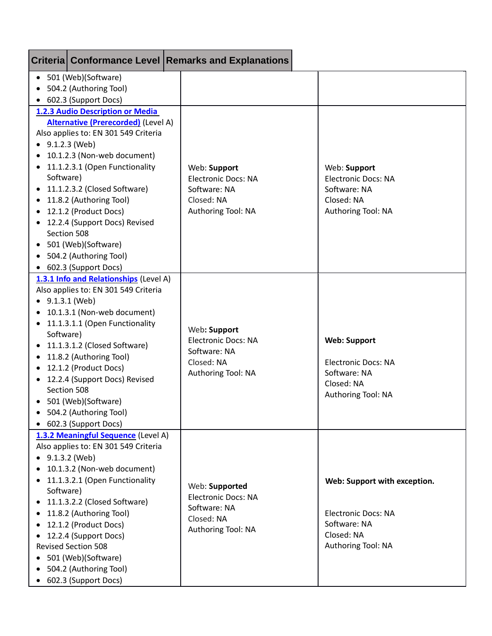|                         |                                                                         | Criteria Conformance Level Remarks and Explanations |                              |
|-------------------------|-------------------------------------------------------------------------|-----------------------------------------------------|------------------------------|
|                         | • 501 (Web)(Software)<br>504.2 (Authoring Tool)<br>602.3 (Support Docs) |                                                     |                              |
|                         | 1.2.3 Audio Description or Media                                        |                                                     |                              |
|                         | <b>Alternative (Prerecorded)</b> (Level A)                              |                                                     |                              |
|                         | Also applies to: EN 301 549 Criteria                                    |                                                     |                              |
| $\bullet$ 9.1.2.3 (Web) |                                                                         |                                                     |                              |
|                         | 10.1.2.3 (Non-web document)                                             |                                                     |                              |
| $\bullet$               | 11.1.2.3.1 (Open Functionality                                          | Web: Support                                        | Web: Support                 |
| Software)               |                                                                         | <b>Electronic Docs: NA</b>                          | <b>Electronic Docs: NA</b>   |
|                         | 11.1.2.3.2 (Closed Software)                                            | Software: NA                                        | Software: NA                 |
|                         | 11.8.2 (Authoring Tool)                                                 | Closed: NA                                          | Closed: NA                   |
| $\bullet$               | 12.1.2 (Product Docs)                                                   | Authoring Tool: NA                                  | Authoring Tool: NA           |
|                         | 12.2.4 (Support Docs) Revised<br>Section 508                            |                                                     |                              |
|                         | 501 (Web)(Software)                                                     |                                                     |                              |
|                         | 504.2 (Authoring Tool)                                                  |                                                     |                              |
|                         | 602.3 (Support Docs)                                                    |                                                     |                              |
|                         | 1.3.1 Info and Relationships (Level A)                                  |                                                     |                              |
|                         | Also applies to: EN 301 549 Criteria                                    |                                                     |                              |
| $\bullet$               | 9.1.3.1 (Web)                                                           |                                                     |                              |
|                         | 10.1.3.1 (Non-web document)                                             |                                                     |                              |
| $\bullet$               | 11.1.3.1.1 (Open Functionality                                          |                                                     |                              |
| Software)               |                                                                         | Web: Support                                        |                              |
|                         | 11.1.3.1.2 (Closed Software)                                            | <b>Electronic Docs: NA</b><br>Software: NA          | <b>Web: Support</b>          |
| $\bullet$               | 11.8.2 (Authoring Tool)                                                 | Closed: NA                                          | <b>Electronic Docs: NA</b>   |
|                         | 12.1.2 (Product Docs)                                                   | Authoring Tool: NA                                  | Software: NA                 |
| $\bullet$               | 12.2.4 (Support Docs) Revised                                           |                                                     | Closed: NA                   |
|                         | Section 508                                                             |                                                     | Authoring Tool: NA           |
|                         | • 501 (Web)(Software)                                                   |                                                     |                              |
|                         | 504.2 (Authoring Tool)                                                  |                                                     |                              |
| $\bullet$               | 602.3 (Support Docs)                                                    |                                                     |                              |
|                         | 1.3.2 Meaningful Sequence (Level A)                                     |                                                     |                              |
|                         | Also applies to: EN 301 549 Criteria                                    |                                                     |                              |
| $\bullet$ 9.1.3.2 (Web) | 10.1.3.2 (Non-web document)                                             |                                                     |                              |
|                         | 11.1.3.2.1 (Open Functionality                                          |                                                     |                              |
| Software)               |                                                                         | Web: Supported                                      | Web: Support with exception. |
|                         | 11.1.3.2.2 (Closed Software)                                            | <b>Electronic Docs: NA</b>                          |                              |
|                         | 11.8.2 (Authoring Tool)                                                 | Software: NA                                        | <b>Electronic Docs: NA</b>   |
|                         | 12.1.2 (Product Docs)                                                   | Closed: NA                                          | Software: NA                 |
|                         | 12.2.4 (Support Docs)                                                   | Authoring Tool: NA                                  | Closed: NA                   |
|                         | <b>Revised Section 508</b>                                              |                                                     | Authoring Tool: NA           |
|                         | 501 (Web)(Software)                                                     |                                                     |                              |
|                         | 504.2 (Authoring Tool)                                                  |                                                     |                              |
|                         | 602.3 (Support Docs)                                                    |                                                     |                              |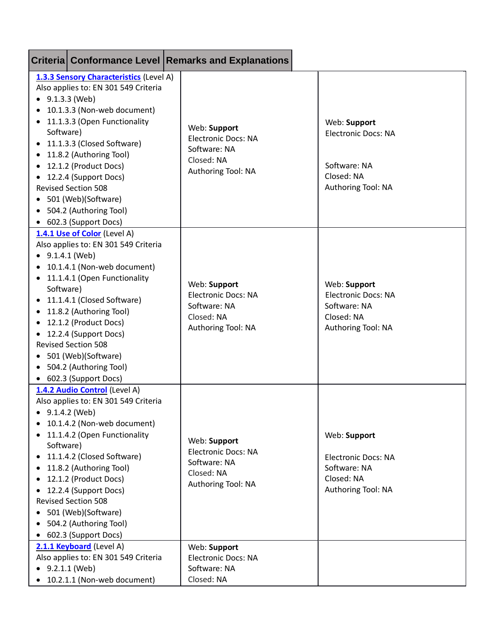|                                                                                                      |                                                                                                                                                                                                                                                                                                                                                                                   | Criteria Conformance Level Remarks and Explanations                                            |                                                                                                |
|------------------------------------------------------------------------------------------------------|-----------------------------------------------------------------------------------------------------------------------------------------------------------------------------------------------------------------------------------------------------------------------------------------------------------------------------------------------------------------------------------|------------------------------------------------------------------------------------------------|------------------------------------------------------------------------------------------------|
| $\bullet$<br>$\bullet$<br>Software)<br>$\bullet$<br>$\bullet$<br>$\bullet$                           | 1.3.3 Sensory Characteristics (Level A)<br>Also applies to: EN 301 549 Criteria<br>9.1.3.3 (Web)<br>10.1.3.3 (Non-web document)<br>11.1.3.3 (Open Functionality<br>11.1.3.3 (Closed Software)<br>11.8.2 (Authoring Tool)<br>12.1.2 (Product Docs)<br>12.2.4 (Support Docs)<br><b>Revised Section 508</b><br>501 (Web)(Software)<br>504.2 (Authoring Tool)<br>602.3 (Support Docs) | Web: Support<br><b>Electronic Docs: NA</b><br>Software: NA<br>Closed: NA<br>Authoring Tool: NA | Web: Support<br><b>Electronic Docs: NA</b><br>Software: NA<br>Closed: NA<br>Authoring Tool: NA |
| $\bullet$<br>$\bullet$<br>Software)<br>$\bullet$<br>$\bullet$<br>$\bullet$<br>$\bullet$<br>$\bullet$ | 1.4.1 Use of Color (Level A)<br>Also applies to: EN 301 549 Criteria<br>9.1.4.1 (Web)<br>10.1.4.1 (Non-web document)<br>11.1.4.1 (Open Functionality<br>11.1.4.1 (Closed Software)<br>11.8.2 (Authoring Tool)<br>12.1.2 (Product Docs)<br>12.2.4 (Support Docs)<br><b>Revised Section 508</b><br>501 (Web)(Software)<br>504.2 (Authoring Tool)<br>602.3 (Support Docs)            | Web: Support<br><b>Electronic Docs: NA</b><br>Software: NA<br>Closed: NA<br>Authoring Tool: NA | Web: Support<br><b>Electronic Docs: NA</b><br>Software: NA<br>Closed: NA<br>Authoring Tool: NA |
| $\bullet$<br>Software)<br>$\bullet$<br>$\bullet$<br>٠<br>$\bullet$<br>٠<br>$\bullet$                 | 1.4.2 Audio Control (Level A)<br>Also applies to: EN 301 549 Criteria<br>9.1.4.2 (Web)<br>10.1.4.2 (Non-web document)<br>11.1.4.2 (Open Functionality<br>11.1.4.2 (Closed Software)<br>11.8.2 (Authoring Tool)<br>12.1.2 (Product Docs)<br>12.2.4 (Support Docs)<br><b>Revised Section 508</b><br>501 (Web)(Software)<br>504.2 (Authoring Tool)<br>602.3 (Support Docs)           | Web: Support<br><b>Electronic Docs: NA</b><br>Software: NA<br>Closed: NA<br>Authoring Tool: NA | Web: Support<br><b>Electronic Docs: NA</b><br>Software: NA<br>Closed: NA<br>Authoring Tool: NA |
| $\bullet$<br>$\bullet$                                                                               | 2.1.1 Keyboard (Level A)<br>Also applies to: EN 301 549 Criteria<br>9.2.1.1 (Web)<br>10.2.1.1 (Non-web document)                                                                                                                                                                                                                                                                  | Web: Support<br><b>Electronic Docs: NA</b><br>Software: NA<br>Closed: NA                       |                                                                                                |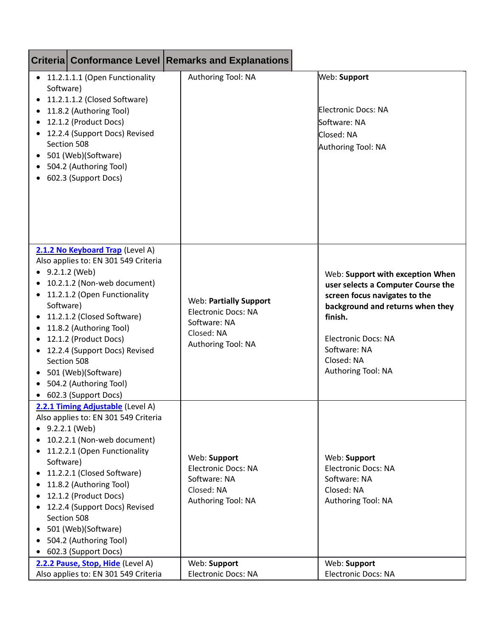|                                                  |                                                                                                                                                                                                                                                                                                                                                                      | <b>Criteria Conformance Level Remarks and Explanations</b>                                                      |                                                                                                                                                                                                                                          |
|--------------------------------------------------|----------------------------------------------------------------------------------------------------------------------------------------------------------------------------------------------------------------------------------------------------------------------------------------------------------------------------------------------------------------------|-----------------------------------------------------------------------------------------------------------------|------------------------------------------------------------------------------------------------------------------------------------------------------------------------------------------------------------------------------------------|
| Software)<br>$\bullet$<br>$\bullet$<br>$\bullet$ | • 11.2.1.1.1 (Open Functionality<br>11.2.1.1.2 (Closed Software)<br>11.8.2 (Authoring Tool)<br>12.1.2 (Product Docs)<br>12.2.4 (Support Docs) Revised<br>Section 508<br>501 (Web)(Software)<br>504.2 (Authoring Tool)<br>602.3 (Support Docs)                                                                                                                        | Authoring Tool: NA                                                                                              | Web: Support<br>Electronic Docs: NA<br>Software: NA<br>Closed: NA<br>Authoring Tool: NA                                                                                                                                                  |
| $\bullet$<br>Software)<br>$\bullet$<br>٠         | 2.1.2 No Keyboard Trap (Level A)<br>Also applies to: EN 301 549 Criteria<br>9.2.1.2 (Web)<br>10.2.1.2 (Non-web document)<br>11.2.1.2 (Open Functionality<br>11.2.1.2 (Closed Software)<br>11.8.2 (Authoring Tool)<br>12.1.2 (Product Docs)<br>12.2.4 (Support Docs) Revised<br>Section 508<br>501 (Web)(Software)<br>504.2 (Authoring Tool)<br>602.3 (Support Docs)  | <b>Web: Partially Support</b><br><b>Electronic Docs: NA</b><br>Software: NA<br>Closed: NA<br>Authoring Tool: NA | Web: Support with exception When<br>user selects a Computer Course the<br>screen focus navigates to the<br>background and returns when they<br>finish.<br><b>Electronic Docs: NA</b><br>Software: NA<br>Closed: NA<br>Authoring Tool: NA |
| $\bullet$<br>Software)<br>$\bullet$<br>$\bullet$ | 2.2.1 Timing Adjustable (Level A)<br>Also applies to: EN 301 549 Criteria<br>9.2.2.1 (Web)<br>10.2.2.1 (Non-web document)<br>11.2.2.1 (Open Functionality<br>11.2.2.1 (Closed Software)<br>11.8.2 (Authoring Tool)<br>12.1.2 (Product Docs)<br>12.2.4 (Support Docs) Revised<br>Section 508<br>501 (Web)(Software)<br>504.2 (Authoring Tool)<br>602.3 (Support Docs) | Web: Support<br><b>Electronic Docs: NA</b><br>Software: NA<br>Closed: NA<br>Authoring Tool: NA                  | Web: Support<br><b>Electronic Docs: NA</b><br>Software: NA<br>Closed: NA<br>Authoring Tool: NA                                                                                                                                           |
|                                                  | 2.2.2 Pause, Stop, Hide (Level A)<br>Also applies to: EN 301 549 Criteria                                                                                                                                                                                                                                                                                            | Web: Support<br><b>Electronic Docs: NA</b>                                                                      | Web: Support<br>Electronic Docs: NA                                                                                                                                                                                                      |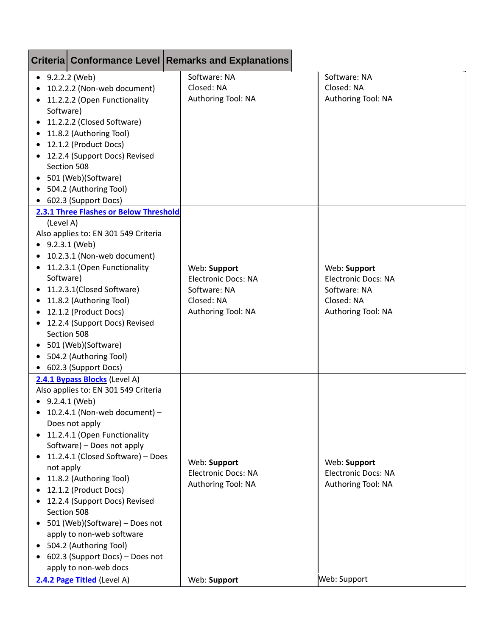|                                                   |                                                                                                                                                                                                                                                                                                                                                                                                                                                                                      | <b>Criteria Conformance Level Remarks and Explanations</b>                                     |                                                                                                |
|---------------------------------------------------|--------------------------------------------------------------------------------------------------------------------------------------------------------------------------------------------------------------------------------------------------------------------------------------------------------------------------------------------------------------------------------------------------------------------------------------------------------------------------------------|------------------------------------------------------------------------------------------------|------------------------------------------------------------------------------------------------|
| $\bullet$ 9.2.2.2 (Web)<br>Software)<br>$\bullet$ | 10.2.2.2 (Non-web document)<br>11.2.2.2 (Open Functionality<br>11.2.2.2 (Closed Software)<br>11.8.2 (Authoring Tool)<br>12.1.2 (Product Docs)<br>12.2.4 (Support Docs) Revised<br>Section 508<br>501 (Web)(Software)<br>504.2 (Authoring Tool)<br>602.3 (Support Docs)                                                                                                                                                                                                               | Software: NA<br>Closed: NA<br>Authoring Tool: NA                                               | Software: NA<br>Closed: NA<br>Authoring Tool: NA                                               |
| (Level A)<br>Software)<br>$\bullet$               | 2.3.1 Three Flashes or Below Threshold<br>Also applies to: EN 301 549 Criteria<br>9.2.3.1 (Web)<br>10.2.3.1 (Non-web document)<br>11.2.3.1 (Open Functionality<br>11.2.3.1(Closed Software)<br>11.8.2 (Authoring Tool)<br>12.1.2 (Product Docs)<br>12.2.4 (Support Docs) Revised<br>Section 508<br>501 (Web)(Software)<br>504.2 (Authoring Tool)<br>602.3 (Support Docs)                                                                                                             | Web: Support<br><b>Electronic Docs: NA</b><br>Software: NA<br>Closed: NA<br>Authoring Tool: NA | Web: Support<br><b>Electronic Docs: NA</b><br>Software: NA<br>Closed: NA<br>Authoring Tool: NA |
| $\bullet$ 9.2.4.1 (Web)<br>not apply              | 2.4.1 Bypass Blocks (Level A)<br>Also applies to: EN 301 549 Criteria<br>10.2.4.1 (Non-web document) -<br>Does not apply<br>11.2.4.1 (Open Functionality<br>Software) - Does not apply<br>11.2.4.1 (Closed Software) - Does<br>11.8.2 (Authoring Tool)<br>12.1.2 (Product Docs)<br>12.2.4 (Support Docs) Revised<br>Section 508<br>501 (Web)(Software) - Does not<br>apply to non-web software<br>504.2 (Authoring Tool)<br>602.3 (Support Docs) - Does not<br>apply to non-web docs | Web: Support<br><b>Electronic Docs: NA</b><br>Authoring Tool: NA                               | Web: Support<br><b>Electronic Docs: NA</b><br>Authoring Tool: NA                               |
|                                                   | 2.4.2 Page Titled (Level A)                                                                                                                                                                                                                                                                                                                                                                                                                                                          | Web: Support                                                                                   | Web: Support                                                                                   |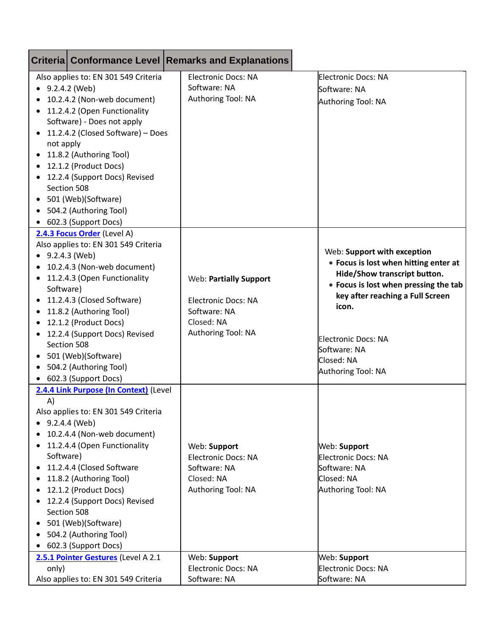|                             |                                                        | Criteria Conformance Level Remarks and Explanations |                                       |
|-----------------------------|--------------------------------------------------------|-----------------------------------------------------|---------------------------------------|
|                             | Also applies to: EN 301 549 Criteria                   | <b>Electronic Docs: NA</b>                          | Electronic Docs: NA                   |
| $\bullet$ 9.2.4.2 (Web)     |                                                        | Software: NA                                        | Software: NA                          |
| 10.2.4.2 (Non-web document) |                                                        | Authoring Tool: NA                                  | Authoring Tool: NA                    |
| $\bullet$                   | 11.2.4.2 (Open Functionality                           |                                                     |                                       |
|                             | Software) - Does not apply                             |                                                     |                                       |
| $\bullet$                   | 11.2.4.2 (Closed Software) - Does                      |                                                     |                                       |
| not apply                   |                                                        |                                                     |                                       |
|                             | 11.8.2 (Authoring Tool)                                |                                                     |                                       |
|                             | 12.1.2 (Product Docs)                                  |                                                     |                                       |
| $\bullet$                   | 12.2.4 (Support Docs) Revised                          |                                                     |                                       |
| Section 508                 |                                                        |                                                     |                                       |
| $\bullet$                   | 501 (Web)(Software)                                    |                                                     |                                       |
| $\bullet$                   | 504.2 (Authoring Tool)                                 |                                                     |                                       |
|                             | • 602.3 (Support Docs)                                 |                                                     |                                       |
|                             | 2.4.3 Focus Order (Level A)                            |                                                     |                                       |
|                             | Also applies to: EN 301 549 Criteria                   |                                                     | Web: Support with exception           |
| $\bullet$ 9.2.4.3 (Web)     |                                                        |                                                     | • Focus is lost when hitting enter at |
|                             | 10.2.4.3 (Non-web document)                            |                                                     | Hide/Show transcript button.          |
| $\bullet$                   | 11.2.4.3 (Open Functionality                           | Web: Partially Support                              | • Focus is lost when pressing the tab |
| Software)                   |                                                        |                                                     | key after reaching a Full Screen      |
|                             | 11.2.4.3 (Closed Software)                             | <b>Electronic Docs: NA</b>                          | icon.                                 |
| ٠                           | 11.8.2 (Authoring Tool)                                | Software: NA                                        |                                       |
| ٠                           | 12.1.2 (Product Docs)                                  | Closed: NA                                          |                                       |
| $\bullet$                   | 12.2.4 (Support Docs) Revised                          | Authoring Tool: NA                                  | Electronic Docs: NA                   |
| Section 508                 |                                                        |                                                     | Software: NA                          |
| $\bullet$                   | 501 (Web)(Software)                                    |                                                     | Closed: NA                            |
| $\bullet$                   | 504.2 (Authoring Tool)                                 |                                                     | Authoring Tool: NA                    |
|                             | 602.3 (Support Docs)                                   |                                                     |                                       |
|                             | 2.4.4 Link Purpose (In Context) (Level                 |                                                     |                                       |
| A)                          |                                                        |                                                     |                                       |
|                             | Also applies to: EN 301 549 Criteria                   |                                                     |                                       |
| $\bullet$ 9.2.4.4 (Web)     |                                                        |                                                     |                                       |
|                             | 10.2.4.4 (Non-web document)                            |                                                     |                                       |
| ٠<br>Software)              | 11.2.4.4 (Open Functionality                           | Web: Support                                        | Web: Support                          |
|                             | 11.2.4.4 (Closed Software                              | <b>Electronic Docs: NA</b><br>Software: NA          | Electronic Docs: NA<br>Software: NA   |
| $\bullet$                   |                                                        | Closed: NA                                          | Closed: NA                            |
|                             | 11.8.2 (Authoring Tool)                                | Authoring Tool: NA                                  | Authoring Tool: NA                    |
| ٠                           | 12.1.2 (Product Docs)<br>12.2.4 (Support Docs) Revised |                                                     |                                       |
| $\bullet$<br>Section 508    |                                                        |                                                     |                                       |
|                             | 501 (Web)(Software)                                    |                                                     |                                       |
| $\bullet$                   |                                                        |                                                     |                                       |
|                             | 504.2 (Authoring Tool)                                 |                                                     |                                       |
| $\bullet$                   | 602.3 (Support Docs)                                   |                                                     |                                       |
| only)                       | 2.5.1 Pointer Gestures (Level A 2.1                    | Web: Support<br><b>Electronic Docs: NA</b>          | Web: Support<br>Electronic Docs: NA   |
|                             | Also applies to: EN 301 549 Criteria                   | Software: NA                                        | Software: NA                          |
|                             |                                                        |                                                     |                                       |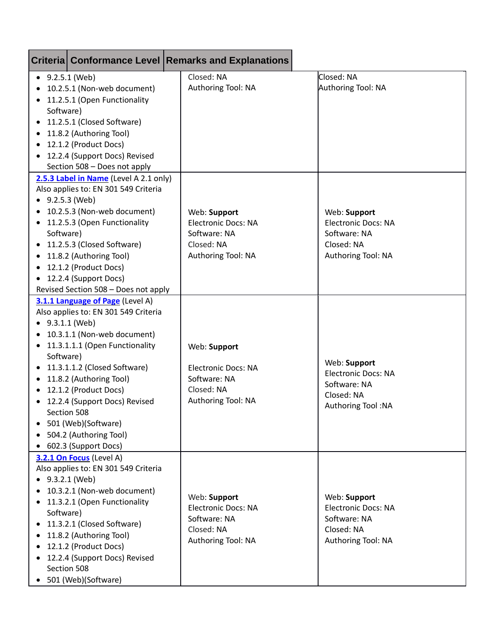|                                                                      |                                                                                                                                                                                                                                                                                                                                                                         | Criteria Conformance Level Remarks and Explanations                                            |                                                                                                |
|----------------------------------------------------------------------|-------------------------------------------------------------------------------------------------------------------------------------------------------------------------------------------------------------------------------------------------------------------------------------------------------------------------------------------------------------------------|------------------------------------------------------------------------------------------------|------------------------------------------------------------------------------------------------|
| $-9.2.5.1$ (Web)<br>$\bullet$<br>Software)<br>$\bullet$<br>$\bullet$ | 10.2.5.1 (Non-web document)<br>11.2.5.1 (Open Functionality<br>11.2.5.1 (Closed Software)<br>11.8.2 (Authoring Tool)<br>12.1.2 (Product Docs)<br>12.2.4 (Support Docs) Revised<br>Section 508 - Does not apply                                                                                                                                                          | Closed: NA<br>Authoring Tool: NA                                                               | Closed: NA<br>Authoring Tool: NA                                                               |
| $\bullet$<br>Software)<br>$\bullet$                                  | 2.5.3 Label in Name (Level A 2.1 only)<br>Also applies to: EN 301 549 Criteria<br>9.2.5.3 (Web)<br>10.2.5.3 (Non-web document)<br>11.2.5.3 (Open Functionality<br>11.2.5.3 (Closed Software)<br>11.8.2 (Authoring Tool)<br>12.1.2 (Product Docs)<br>12.2.4 (Support Docs)<br>Revised Section 508 - Does not apply                                                       | Web: Support<br><b>Electronic Docs: NA</b><br>Software: NA<br>Closed: NA<br>Authoring Tool: NA | Web: Support<br><b>Electronic Docs: NA</b><br>Software: NA<br>Closed: NA<br>Authoring Tool: NA |
| $\bullet$<br>Software)<br>$\bullet$<br>٠                             | 3.1.1 Language of Page (Level A)<br>Also applies to: EN 301 549 Criteria<br>9.3.1.1 (Web)<br>10.3.1.1 (Non-web document)<br>11.3.1.1.1 (Open Functionality<br>11.3.1.1.2 (Closed Software)<br>11.8.2 (Authoring Tool)<br>12.1.2 (Product Docs)<br>12.2.4 (Support Docs) Revised<br>Section 508<br>501 (Web)(Software)<br>504.2 (Authoring Tool)<br>602.3 (Support Docs) | Web: Support<br><b>Electronic Docs: NA</b><br>Software: NA<br>Closed: NA<br>Authoring Tool: NA | Web: Support<br><b>Electronic Docs: NA</b><br>Software: NA<br>Closed: NA<br>Authoring Tool: NA |
| $\bullet$<br>Software)<br>$\bullet$                                  | 3.2.1 On Focus (Level A)<br>Also applies to: EN 301 549 Criteria<br>9.3.2.1 (Web)<br>10.3.2.1 (Non-web document)<br>11.3.2.1 (Open Functionality<br>11.3.2.1 (Closed Software)<br>11.8.2 (Authoring Tool)<br>12.1.2 (Product Docs)<br>12.2.4 (Support Docs) Revised<br>Section 508<br>• 501 (Web)(Software)                                                             | Web: Support<br><b>Electronic Docs: NA</b><br>Software: NA<br>Closed: NA<br>Authoring Tool: NA | Web: Support<br><b>Electronic Docs: NA</b><br>Software: NA<br>Closed: NA<br>Authoring Tool: NA |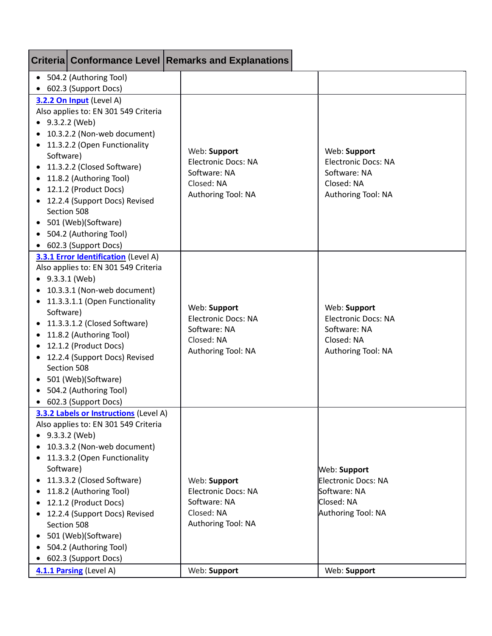|                                                                                              |                                                                                                                                                                                                                                                                                                                                                                           | Criteria Conformance Level Remarks and Explanations                                            |                                                                                                |
|----------------------------------------------------------------------------------------------|---------------------------------------------------------------------------------------------------------------------------------------------------------------------------------------------------------------------------------------------------------------------------------------------------------------------------------------------------------------------------|------------------------------------------------------------------------------------------------|------------------------------------------------------------------------------------------------|
|                                                                                              | • 504.2 (Authoring Tool)<br>602.3 (Support Docs)                                                                                                                                                                                                                                                                                                                          |                                                                                                |                                                                                                |
| $\bullet$ 9.3.2.2 (Web)<br>$\bullet$<br>Software)<br>$\bullet$                               | 3.2.2 On Input (Level A)<br>Also applies to: EN 301 549 Criteria<br>10.3.2.2 (Non-web document)<br>11.3.2.2 (Open Functionality<br>11.3.2.2 (Closed Software)<br>11.8.2 (Authoring Tool)<br>12.1.2 (Product Docs)<br>12.2.4 (Support Docs) Revised<br>Section 508<br>501 (Web)(Software)<br>504.2 (Authoring Tool)<br>602.3 (Support Docs)                                | Web: Support<br><b>Electronic Docs: NA</b><br>Software: NA<br>Closed: NA<br>Authoring Tool: NA | Web: Support<br><b>Electronic Docs: NA</b><br>Software: NA<br>Closed: NA<br>Authoring Tool: NA |
| $\bullet$ 9.3.3.1 (Web)<br>$\bullet$<br>Software)                                            | 3.3.1 Error Identification (Level A)<br>Also applies to: EN 301 549 Criteria<br>10.3.3.1 (Non-web document)<br>11.3.3.1.1 (Open Functionality<br>11.3.3.1.2 (Closed Software)<br>11.8.2 (Authoring Tool)<br>12.1.2 (Product Docs)<br>12.2.4 (Support Docs) Revised<br>Section 508<br>501 (Web)(Software)<br>504.2 (Authoring Tool)<br>• 602.3 (Support Docs)              | Web: Support<br><b>Electronic Docs: NA</b><br>Software: NA<br>Closed: NA<br>Authoring Tool: NA | Web: Support<br><b>Electronic Docs: NA</b><br>Software: NA<br>Closed: NA<br>Authoring Tool: NA |
| $\bullet$<br>Software)<br>٠<br>$\bullet$<br>$\bullet$<br>$\bullet$<br>$\bullet$<br>$\bullet$ | 3.3.2 Labels or Instructions (Level A)<br>Also applies to: EN 301 549 Criteria<br>9.3.3.2 (Web)<br>10.3.3.2 (Non-web document)<br>11.3.3.2 (Open Functionality<br>11.3.3.2 (Closed Software)<br>11.8.2 (Authoring Tool)<br>12.1.2 (Product Docs)<br>12.2.4 (Support Docs) Revised<br>Section 508<br>501 (Web)(Software)<br>504.2 (Authoring Tool)<br>602.3 (Support Docs) | Web: Support<br><b>Electronic Docs: NA</b><br>Software: NA<br>Closed: NA<br>Authoring Tool: NA | Web: Support<br>Electronic Docs: NA<br>Software: NA<br>Closed: NA<br>Authoring Tool: NA        |
|                                                                                              | 4.1.1 Parsing (Level A)                                                                                                                                                                                                                                                                                                                                                   | Web: Support                                                                                   | Web: Support                                                                                   |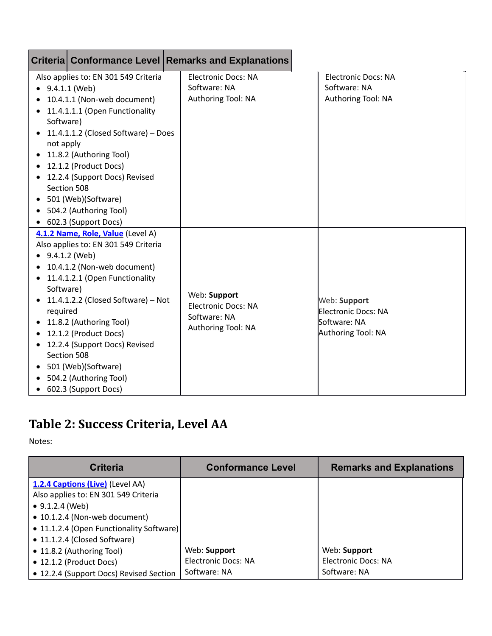|                                                               |                                                                                                                                                                                                                                                                                                                                                                                                        | Criteria Conformance Level Remarks and Explanations                              |                                                                           |
|---------------------------------------------------------------|--------------------------------------------------------------------------------------------------------------------------------------------------------------------------------------------------------------------------------------------------------------------------------------------------------------------------------------------------------------------------------------------------------|----------------------------------------------------------------------------------|---------------------------------------------------------------------------|
| $\bullet$ 9.4.1.1 (Web)<br>٠                                  | Also applies to: EN 301 549 Criteria<br>10.4.1.1 (Non-web document)<br>11.4.1.1.1 (Open Functionality                                                                                                                                                                                                                                                                                                  | <b>Electronic Docs: NA</b><br>Software: NA<br>Authoring Tool: NA                 | <b>Electronic Docs: NA</b><br>Software: NA<br>Authoring Tool: NA          |
| Software)<br>$\bullet$<br>not apply<br>$\bullet$<br>$\bullet$ | 11.4.1.1.2 (Closed Software) - Does<br>11.8.2 (Authoring Tool)<br>12.1.2 (Product Docs)<br>12.2.4 (Support Docs) Revised<br>Section 508<br>501 (Web)(Software)<br>504.2 (Authoring Tool)                                                                                                                                                                                                               |                                                                                  |                                                                           |
| $\bullet$<br>Software)<br>٠<br>required<br>٠<br>$\bullet$     | 602.3 (Support Docs)<br>4.1.2 Name, Role, Value (Level A)<br>Also applies to: EN 301 549 Criteria<br>9.4.1.2 (Web)<br>10.4.1.2 (Non-web document)<br>11.4.1.2.1 (Open Functionality<br>11.4.1.2.2 (Closed Software) - Not<br>11.8.2 (Authoring Tool)<br>12.1.2 (Product Docs)<br>12.2.4 (Support Docs) Revised<br>Section 508<br>501 (Web)(Software)<br>504.2 (Authoring Tool)<br>602.3 (Support Docs) | Web: Support<br><b>Electronic Docs: NA</b><br>Software: NA<br>Authoring Tool: NA | Web: Support<br>Electronic Docs: NA<br>Software: NA<br>Authoring Tool: NA |

### <span id="page-20-0"></span>**Table 2: Success Criteria, Level AA**

Notes:

| <b>Criteria</b>                          | <b>Conformance Level</b>   | <b>Remarks and Explanations</b> |
|------------------------------------------|----------------------------|---------------------------------|
| 1.2.4 Captions (Live) (Level AA)         |                            |                                 |
| Also applies to: EN 301 549 Criteria     |                            |                                 |
| $\bullet$ 9.1.2.4 (Web)                  |                            |                                 |
| • 10.1.2.4 (Non-web document)            |                            |                                 |
| • 11.1.2.4 (Open Functionality Software) |                            |                                 |
| • 11.1.2.4 (Closed Software)             |                            |                                 |
| • 11.8.2 (Authoring Tool)                | Web: Support               | Web: Support                    |
| • 12.1.2 (Product Docs)                  | <b>Electronic Docs: NA</b> | <b>Electronic Docs: NA</b>      |
| • 12.2.4 (Support Docs) Revised Section  | Software: NA               | Software: NA                    |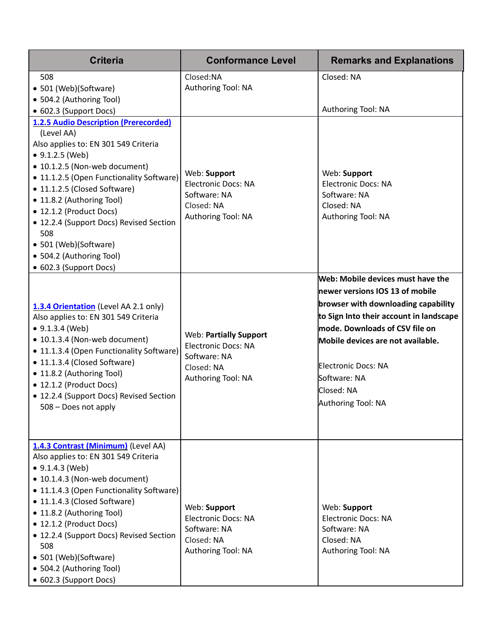| <b>Criteria</b>                                                                                                                                                                                                                                                                                                                                                                                                                                               | <b>Conformance Level</b>                                                                                        | <b>Remarks and Explanations</b>                                                                                                                                                                                                                                                                          |
|---------------------------------------------------------------------------------------------------------------------------------------------------------------------------------------------------------------------------------------------------------------------------------------------------------------------------------------------------------------------------------------------------------------------------------------------------------------|-----------------------------------------------------------------------------------------------------------------|----------------------------------------------------------------------------------------------------------------------------------------------------------------------------------------------------------------------------------------------------------------------------------------------------------|
| 508<br>• 501 (Web)(Software)<br>• 504.2 (Authoring Tool)                                                                                                                                                                                                                                                                                                                                                                                                      | Closed:NA<br>Authoring Tool: NA                                                                                 | Closed: NA<br>Authoring Tool: NA                                                                                                                                                                                                                                                                         |
| • 602.3 (Support Docs)<br><b>1.2.5 Audio Description (Prerecorded)</b><br>(Level AA)<br>Also applies to: EN 301 549 Criteria<br>$\bullet$ 9.1.2.5 (Web)<br>• 10.1.2.5 (Non-web document)<br>• 11.1.2.5 (Open Functionality Software)<br>• 11.1.2.5 (Closed Software)<br>• 11.8.2 (Authoring Tool)<br>• 12.1.2 (Product Docs)<br>• 12.2.4 (Support Docs) Revised Section<br>508<br>• 501 (Web)(Software)<br>• 504.2 (Authoring Tool)<br>• 602.3 (Support Docs) | Web: Support<br><b>Electronic Docs: NA</b><br>Software: NA<br>Closed: NA<br>Authoring Tool: NA                  | Web: Support<br><b>Electronic Docs: NA</b><br>Software: NA<br>Closed: NA<br>Authoring Tool: NA                                                                                                                                                                                                           |
| 1.3.4 Orientation (Level AA 2.1 only)<br>Also applies to: EN 301 549 Criteria<br>$\bullet$ 9.1.3.4 (Web)<br>• 10.1.3.4 (Non-web document)<br>• 11.1.3.4 (Open Functionality Software)<br>• 11.1.3.4 (Closed Software)<br>• 11.8.2 (Authoring Tool)<br>• 12.1.2 (Product Docs)<br>• 12.2.4 (Support Docs) Revised Section<br>508 - Does not apply                                                                                                              | <b>Web: Partially Support</b><br><b>Electronic Docs: NA</b><br>Software: NA<br>Closed: NA<br>Authoring Tool: NA | Web: Mobile devices must have the<br>newer versions IOS 13 of mobile<br>browser with downloading capability<br>to Sign Into their account in landscape<br>mode. Downloads of CSV file on<br>Mobile devices are not available.<br>Electronic Docs: NA<br>Software: NA<br>Closed: NA<br>Authoring Tool: NA |
| 1.4.3 Contrast (Minimum) (Level AA)<br>Also applies to: EN 301 549 Criteria<br>$\bullet$ 9.1.4.3 (Web)<br>• 10.1.4.3 (Non-web document)<br>• 11.1.4.3 (Open Functionality Software)<br>• 11.1.4.3 (Closed Software)<br>• 11.8.2 (Authoring Tool)<br>• 12.1.2 (Product Docs)<br>• 12.2.4 (Support Docs) Revised Section<br>508<br>• 501 (Web)(Software)<br>• 504.2 (Authoring Tool)<br>• 602.3 (Support Docs)                                                  | Web: Support<br><b>Electronic Docs: NA</b><br>Software: NA<br>Closed: NA<br>Authoring Tool: NA                  | Web: Support<br><b>Electronic Docs: NA</b><br>Software: NA<br>Closed: NA<br>Authoring Tool: NA                                                                                                                                                                                                           |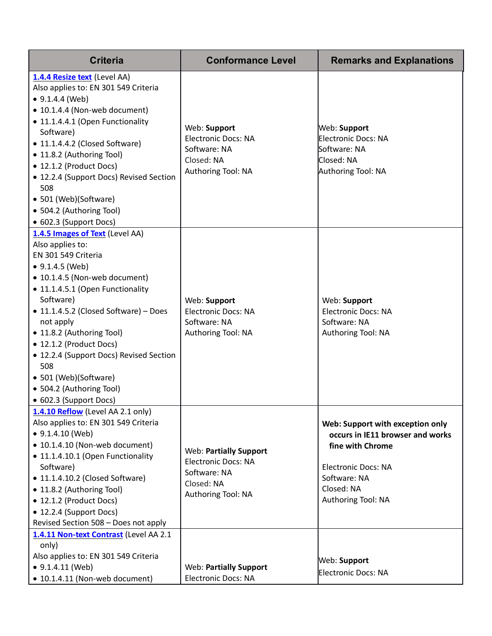| <b>Criteria</b>                                                                                                                                                                                                                                                                                                                                                                                                                        | <b>Conformance Level</b>                                                                                        | <b>Remarks and Explanations</b>                                                                                                                                            |
|----------------------------------------------------------------------------------------------------------------------------------------------------------------------------------------------------------------------------------------------------------------------------------------------------------------------------------------------------------------------------------------------------------------------------------------|-----------------------------------------------------------------------------------------------------------------|----------------------------------------------------------------------------------------------------------------------------------------------------------------------------|
| 1.4.4 Resize text (Level AA)<br>Also applies to: EN 301 549 Criteria<br>$\bullet$ 9.1.4.4 (Web)<br>• 10.1.4.4 (Non-web document)<br>• 11.1.4.4.1 (Open Functionality<br>Software)<br>• 11.1.4.4.2 (Closed Software)<br>• 11.8.2 (Authoring Tool)<br>• 12.1.2 (Product Docs)<br>• 12.2.4 (Support Docs) Revised Section<br>508<br>• 501 (Web)(Software)<br>• 504.2 (Authoring Tool)<br>• 602.3 (Support Docs)                           | Web: Support<br><b>Electronic Docs: NA</b><br>Software: NA<br>Closed: NA<br>Authoring Tool: NA                  | Web: Support<br>Electronic Docs: NA<br>Software: NA<br>Closed: NA<br>Authoring Tool: NA                                                                                    |
| 1.4.5 Images of Text (Level AA)<br>Also applies to:<br>EN 301 549 Criteria<br>$\bullet$ 9.1.4.5 (Web)<br>• 10.1.4.5 (Non-web document)<br>• 11.1.4.5.1 (Open Functionality<br>Software)<br>• 11.1.4.5.2 (Closed Software) - Does<br>not apply<br>• 11.8.2 (Authoring Tool)<br>• 12.1.2 (Product Docs)<br>• 12.2.4 (Support Docs) Revised Section<br>508<br>• 501 (Web)(Software)<br>• 504.2 (Authoring Tool)<br>• 602.3 (Support Docs) | Web: Support<br><b>Electronic Docs: NA</b><br>Software: NA<br>Authoring Tool: NA                                | Web: Support<br><b>Electronic Docs: NA</b><br>Software: NA<br>Authoring Tool: NA                                                                                           |
| 1.4.10 Reflow (Level AA 2.1 only)<br>Also applies to: EN 301 549 Criteria<br>$\bullet$ 9.1.4.10 (Web)<br>• 10.1.4.10 (Non-web document)<br>• 11.1.4.10.1 (Open Functionality<br>Software)<br>• 11.1.4.10.2 (Closed Software)<br>• 11.8.2 (Authoring Tool)<br>• 12.1.2 (Product Docs)<br>• 12.2.4 (Support Docs)<br>Revised Section 508 - Does not apply                                                                                | <b>Web: Partially Support</b><br><b>Electronic Docs: NA</b><br>Software: NA<br>Closed: NA<br>Authoring Tool: NA | Web: Support with exception only<br>occurs in IE11 browser and works<br>fine with Chrome<br><b>Electronic Docs: NA</b><br>Software: NA<br>Closed: NA<br>Authoring Tool: NA |
| 1.4.11 Non-text Contrast (Level AA 2.1<br>only)<br>Also applies to: EN 301 549 Criteria<br>$\bullet$ 9.1.4.11 (Web)<br>• 10.1.4.11 (Non-web document)                                                                                                                                                                                                                                                                                  | <b>Web: Partially Support</b><br><b>Electronic Docs: NA</b>                                                     | Web: Support<br>Electronic Docs: NA                                                                                                                                        |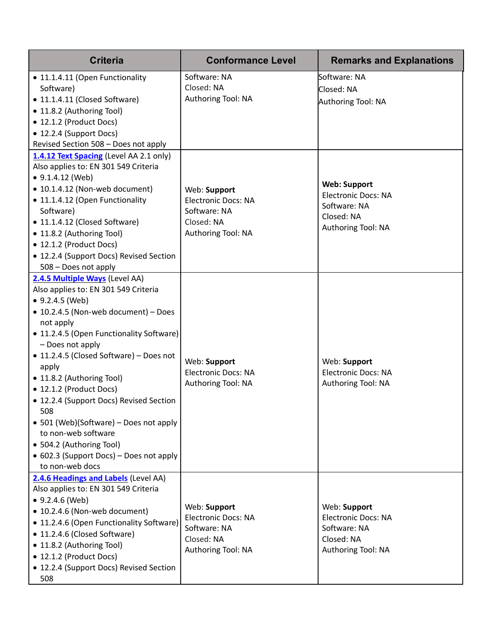| <b>Criteria</b>                                                                                                                                                                                                                                                                                                                                                                                                                                                                                                                                 | <b>Conformance Level</b>                                                                       | <b>Remarks and Explanations</b>                                                                       |
|-------------------------------------------------------------------------------------------------------------------------------------------------------------------------------------------------------------------------------------------------------------------------------------------------------------------------------------------------------------------------------------------------------------------------------------------------------------------------------------------------------------------------------------------------|------------------------------------------------------------------------------------------------|-------------------------------------------------------------------------------------------------------|
| • 11.1.4.11 (Open Functionality<br>Software)<br>• 11.1.4.11 (Closed Software)<br>• 11.8.2 (Authoring Tool)<br>• 12.1.2 (Product Docs)<br>• 12.2.4 (Support Docs)<br>Revised Section 508 - Does not apply                                                                                                                                                                                                                                                                                                                                        | Software: NA<br>Closed: NA<br>Authoring Tool: NA                                               | Software: NA<br>Closed: NA<br>Authoring Tool: NA                                                      |
| 1.4.12 Text Spacing (Level AA 2.1 only)<br>Also applies to: EN 301 549 Criteria<br>$\bullet$ 9.1.4.12 (Web)<br>• 10.1.4.12 (Non-web document)<br>• 11.1.4.12 (Open Functionality<br>Software)<br>• 11.1.4.12 (Closed Software)<br>• 11.8.2 (Authoring Tool)<br>• 12.1.2 (Product Docs)<br>• 12.2.4 (Support Docs) Revised Section<br>508 - Does not apply                                                                                                                                                                                       | Web: Support<br><b>Electronic Docs: NA</b><br>Software: NA<br>Closed: NA<br>Authoring Tool: NA | <b>Web: Support</b><br><b>Electronic Docs: NA</b><br>Software: NA<br>Closed: NA<br>Authoring Tool: NA |
| 2.4.5 Multiple Ways (Level AA)<br>Also applies to: EN 301 549 Criteria<br>$\bullet$ 9.2.4.5 (Web)<br>• 10.2.4.5 (Non-web document) - Does<br>not apply<br>• 11.2.4.5 (Open Functionality Software)<br>- Does not apply<br>• 11.2.4.5 (Closed Software) - Does not<br>apply<br>• 11.8.2 (Authoring Tool)<br>• 12.1.2 (Product Docs)<br>• 12.2.4 (Support Docs) Revised Section<br>508<br>• 501 (Web)(Software) – Does not apply<br>to non-web software<br>• 504.2 (Authoring Tool)<br>• 602.3 (Support Docs) – Does not apply<br>to non-web docs | Web: Support<br><b>Electronic Docs: NA</b><br>Authoring Tool: NA                               | Web: Support<br><b>Electronic Docs: NA</b><br>Authoring Tool: NA                                      |
| 2.4.6 Headings and Labels (Level AA)<br>Also applies to: EN 301 549 Criteria<br>$• 9.2.4.6$ (Web)<br>• 10.2.4.6 (Non-web document)<br>• 11.2.4.6 (Open Functionality Software)<br>• 11.2.4.6 (Closed Software)<br>• 11.8.2 (Authoring Tool)<br>• 12.1.2 (Product Docs)<br>• 12.2.4 (Support Docs) Revised Section<br>508                                                                                                                                                                                                                        | Web: Support<br><b>Electronic Docs: NA</b><br>Software: NA<br>Closed: NA<br>Authoring Tool: NA | Web: Support<br><b>Electronic Docs: NA</b><br>Software: NA<br>Closed: NA<br>Authoring Tool: NA        |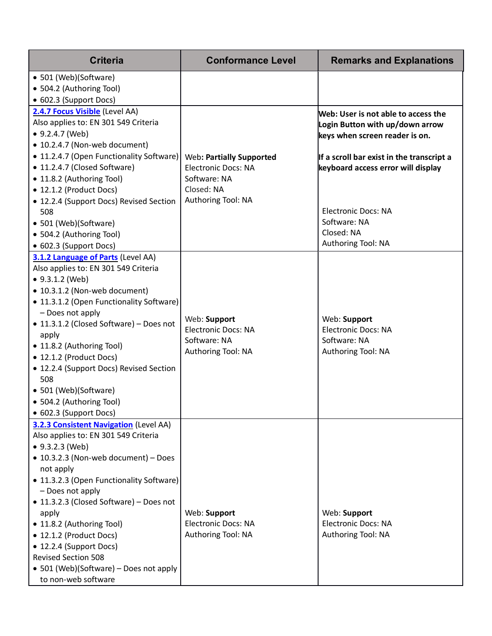| <b>Criteria</b>                                                                                                                                                                                                                                                                                                                                                                                                                                                                | <b>Conformance Level</b>                                                                                          | <b>Remarks and Explanations</b>                                                                                                                                                                                                                                               |
|--------------------------------------------------------------------------------------------------------------------------------------------------------------------------------------------------------------------------------------------------------------------------------------------------------------------------------------------------------------------------------------------------------------------------------------------------------------------------------|-------------------------------------------------------------------------------------------------------------------|-------------------------------------------------------------------------------------------------------------------------------------------------------------------------------------------------------------------------------------------------------------------------------|
| • 501 (Web)(Software)<br>• 504.2 (Authoring Tool)<br>• 602.3 (Support Docs)<br>2.4.7 Focus Visible (Level AA)<br>Also applies to: EN 301 549 Criteria<br>• 9.2.4.7 (Web)<br>• 10.2.4.7 (Non-web document)<br>• 11.2.4.7 (Open Functionality Software)<br>• 11.2.4.7 (Closed Software)<br>• 11.8.2 (Authoring Tool)<br>• 12.1.2 (Product Docs)<br>• 12.2.4 (Support Docs) Revised Section<br>508<br>• 501 (Web)(Software)<br>• 504.2 (Authoring Tool)<br>• 602.3 (Support Docs) | <b>Web: Partially Supported</b><br><b>Electronic Docs: NA</b><br>Software: NA<br>Closed: NA<br>Authoring Tool: NA | Web: User is not able to access the<br>Login Button with up/down arrow<br>keys when screen reader is on.<br>If a scroll bar exist in the transcript a<br>keyboard access error will display<br><b>Electronic Docs: NA</b><br>Software: NA<br>Closed: NA<br>Authoring Tool: NA |
| 3.1.2 Language of Parts (Level AA)<br>Also applies to: EN 301 549 Criteria<br>$\bullet$ 9.3.1.2 (Web)<br>• 10.3.1.2 (Non-web document)<br>• 11.3.1.2 (Open Functionality Software)<br>- Does not apply<br>• 11.3.1.2 (Closed Software) - Does not<br>apply<br>• 11.8.2 (Authoring Tool)<br>• 12.1.2 (Product Docs)<br>• 12.2.4 (Support Docs) Revised Section<br>508<br>• 501 (Web)(Software)<br>• 504.2 (Authoring Tool)<br>• 602.3 (Support Docs)                            | Web: Support<br><b>Electronic Docs: NA</b><br>Software: NA<br>Authoring Tool: NA                                  | Web: Support<br><b>Electronic Docs: NA</b><br>Software: NA<br>Authoring Tool: NA                                                                                                                                                                                              |
| <b>3.2.3 Consistent Navigation (Level AA)</b><br>Also applies to: EN 301 549 Criteria<br>• 9.3.2.3 (Web)<br>• 10.3.2.3 (Non-web document) - Does<br>not apply<br>• 11.3.2.3 (Open Functionality Software)<br>- Does not apply<br>• 11.3.2.3 (Closed Software) – Does not<br>apply<br>• 11.8.2 (Authoring Tool)<br>• 12.1.2 (Product Docs)<br>• 12.2.4 (Support Docs)<br><b>Revised Section 508</b><br>• 501 (Web)(Software) – Does not apply<br>to non-web software            | Web: Support<br><b>Electronic Docs: NA</b><br>Authoring Tool: NA                                                  | Web: Support<br><b>Electronic Docs: NA</b><br>Authoring Tool: NA                                                                                                                                                                                                              |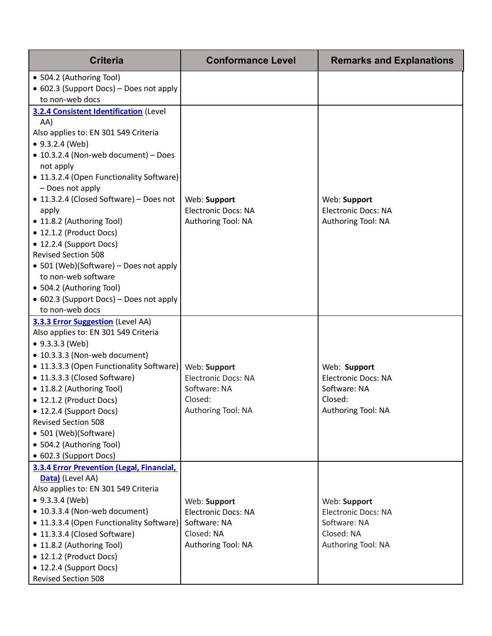| <b>Criteria</b>                                                                        | <b>Conformance Level</b>   | <b>Remarks and Explanations</b> |
|----------------------------------------------------------------------------------------|----------------------------|---------------------------------|
| • 504.2 (Authoring Tool)<br>• 602.3 (Support Docs) - Does not apply<br>to non-web docs |                            |                                 |
| 3.2.4 Consistent Identification (Level                                                 |                            |                                 |
| AA)                                                                                    |                            |                                 |
| Also applies to: EN 301 549 Criteria                                                   |                            |                                 |
| • 9.3.2.4 (Web)                                                                        |                            |                                 |
| • 10.3.2.4 (Non-web document) - Does                                                   |                            |                                 |
| not apply                                                                              |                            |                                 |
| • 11.3.2.4 (Open Functionality Software)<br>- Does not apply                           |                            |                                 |
| • 11.3.2.4 (Closed Software) - Does not                                                | Web: Support               | Web: Support                    |
| apply                                                                                  | <b>Electronic Docs: NA</b> | <b>Electronic Docs: NA</b>      |
| • 11.8.2 (Authoring Tool)                                                              | Authoring Tool: NA         | Authoring Tool: NA              |
| • 12.1.2 (Product Docs)                                                                |                            |                                 |
| • 12.2.4 (Support Docs)                                                                |                            |                                 |
| <b>Revised Section 508</b>                                                             |                            |                                 |
| • 501 (Web)(Software) – Does not apply                                                 |                            |                                 |
| to non-web software                                                                    |                            |                                 |
| • 504.2 (Authoring Tool)                                                               |                            |                                 |
| • 602.3 (Support Docs) – Does not apply                                                |                            |                                 |
| to non-web docs                                                                        |                            |                                 |
| <b>3.3.3 Error Suggestion</b> (Level AA)                                               |                            |                                 |
| Also applies to: EN 301 549 Criteria                                                   |                            |                                 |
| • 9.3.3.3 (Web)                                                                        |                            |                                 |
| • 10.3.3.3 (Non-web document)                                                          |                            |                                 |
| • 11.3.3.3 (Open Functionality Software)                                               | Web: Support               | Web: Support                    |
| • 11.3.3.3 (Closed Software)                                                           | <b>Electronic Docs: NA</b> | <b>Electronic Docs: NA</b>      |
| • 11.8.2 (Authoring Tool)                                                              | Software: NA<br>Closed:    | Software: NA                    |
| • 12.1.2 (Product Docs)                                                                | Authoring Tool: NA         | Closed:<br>Authoring Tool: NA   |
| • 12.2.4 (Support Docs)<br><b>Revised Section 508</b>                                  |                            |                                 |
| • 501 (Web)(Software)                                                                  |                            |                                 |
| • 504.2 (Authoring Tool)                                                               |                            |                                 |
| • 602.3 (Support Docs)                                                                 |                            |                                 |
| 3.3.4 Error Prevention (Legal, Financial,                                              |                            |                                 |
| Data) (Level AA)                                                                       |                            |                                 |
| Also applies to: EN 301 549 Criteria                                                   |                            |                                 |
| $\bullet$ 9.3.3.4 (Web)                                                                | Web: Support               | Web: Support                    |
| • 10.3.3.4 (Non-web document)                                                          | Electronic Docs: NA        | <b>Electronic Docs: NA</b>      |
| • 11.3.3.4 (Open Functionality Software)                                               | Software: NA               | Software: NA                    |
| • 11.3.3.4 (Closed Software)                                                           | Closed: NA                 | Closed: NA                      |
| • 11.8.2 (Authoring Tool)                                                              | Authoring Tool: NA         | Authoring Tool: NA              |
| • 12.1.2 (Product Docs)                                                                |                            |                                 |
| • 12.2.4 (Support Docs)                                                                |                            |                                 |
| <b>Revised Section 508</b>                                                             |                            |                                 |